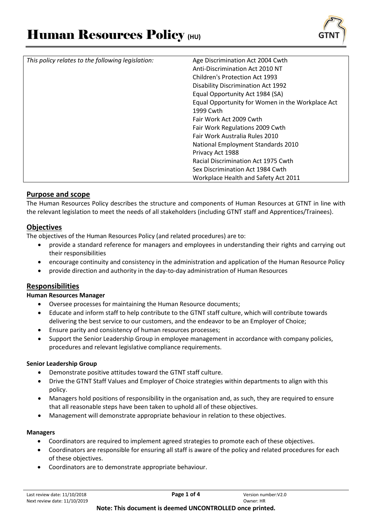

| This policy relates to the following legislation: | Age Discrimination Act 2004 Cwth                 |
|---------------------------------------------------|--------------------------------------------------|
|                                                   | Anti-Discrimination Act 2010 NT                  |
|                                                   | <b>Children's Protection Act 1993</b>            |
|                                                   | <b>Disability Discrimination Act 1992</b>        |
|                                                   | Equal Opportunity Act 1984 (SA)                  |
|                                                   | Equal Opportunity for Women in the Workplace Act |
|                                                   | 1999 Cwth                                        |
|                                                   | Fair Work Act 2009 Cwth                          |
|                                                   | Fair Work Regulations 2009 Cwth                  |
|                                                   | Fair Work Australia Rules 2010                   |
|                                                   | National Employment Standards 2010               |
|                                                   | Privacy Act 1988                                 |
|                                                   | Racial Discrimination Act 1975 Cwth              |
|                                                   | Sex Discrimination Act 1984 Cwth                 |
|                                                   | Workplace Health and Safety Act 2011             |

# **Purpose and scope**

The Human Resources Policy describes the structure and components of Human Resources at GTNT in line with the relevant legislation to meet the needs of all stakeholders (including GTNT staff and Apprentices/Trainees).

# **Objectives**

The objectives of the Human Resources Policy (and related procedures) are to:

- provide a standard reference for managers and employees in understanding their rights and carrying out their responsibilities
- encourage continuity and consistency in the administration and application of the Human Resource Policy
- provide direction and authority in the day-to-day administration of Human Resources

# **Responsibilities**

### **Human Resources Manager**

- Oversee processes for maintaining the Human Resource documents;
- Educate and inform staff to help contribute to the GTNT staff culture, which will contribute towards delivering the best service to our customers, and the endeavor to be an Employer of Choice;
- Ensure parity and consistency of human resources processes;
- Support the Senior Leadership Group in employee management in accordance with company policies, procedures and relevant legislative compliance requirements.

### **Senior Leadership Group**

- Demonstrate positive attitudes toward the GTNT staff culture.
- Drive the GTNT Staff Values and Employer of Choice strategies within departments to align with this policy.
- Managers hold positions of responsibility in the organisation and, as such, they are required to ensure that all reasonable steps have been taken to uphold all of these objectives.
- Management will demonstrate appropriate behaviour in relation to these objectives.

### **Managers**

- Coordinators are required to implement agreed strategies to promote each of these objectives.
- Coordinators are responsible for ensuring all staff is aware of the policy and related procedures for each of these objectives.
- Coordinators are to demonstrate appropriate behaviour.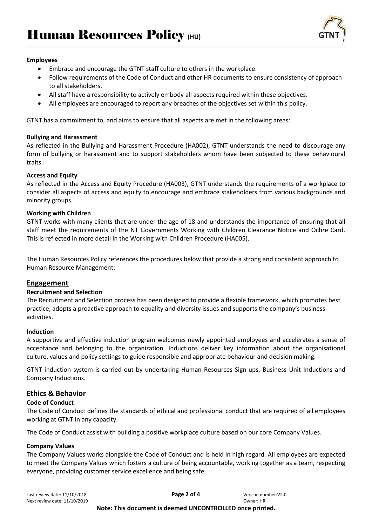

### **Employees**

- Embrace and encourage the GTNT staff culture to others in the workplace.
- Follow requirements of the Code of Conduct and other HR documents to ensure consistency of approach to all stakeholders.
- All staff have a responsibility to actively embody all aspects required within these objectives.
- All employees are encouraged to report any breaches of the objectives set within this policy.

GTNT has a commitment to, and aims to ensure that all aspects are met in the following areas:

### **Bullying and Harassment**

As reflected in the Bullying and Harassment Procedure (HA002), GTNT understands the need to discourage any form of bullying or harassment and to support stakeholders whom have been subjected to these behavioural traits.

### **Access and Equity**

As reflected in the Access and Equity Procedure (HA003), GTNT understands the requirements of a workplace to consider all aspects of access and equity to encourage and embrace stakeholders from various backgrounds and minority groups.

### **Working with Children**

GTNT works with many clients that are under the age of 18 and understands the importance of ensuring that all staff meet the requirements of the NT Governments Working with Children Clearance Notice and Ochre Card. This is reflected in more detail in the Working with Children Procedure (HA005).

The Human Resources Policy references the procedures below that provide a strong and consistent approach to Human Resource Management:

# **Engagement**

### **Recruitment and Selection**

The Recruitment and Selection process has been designed to provide a flexible framework, which promotes best practice, adopts a proactive approach to equality and diversity issues and supports the company's business activities.

### **Induction**

A supportive and effective [induction](http://det.wa.edu.au/policies/detcms/policy-planning-and-accountability/policies-framework/policies/staff-induction.en?bbp.s=9&bbp.e=select&bbp.v=1&bbp.i=d0.1&bbp.8.policyID=12057666&g11n.enc=UTF-8&bbp.9.pane=0) program welcomes newly appointed employees and accelerates a sense of acceptance and belonging to the organization. Inductions deliver key information about the organisational culture, values and policy settings to guide responsible and appropriate behaviour and decision making.

GTNT induction system is carried out by undertaking Human Resources Sign-ups, Business Unit Inductions and Company Inductions.

# **Ethics & Behavior**

# **Code of Conduct**

The Code of Conduct defines the standards of ethical and professional conduct that are required of all employees working at GTNT in any capacity.

The Code of Conduct assist with building a positive workplace culture based on our core Company Values.

# **Company Values**

The Company Values works alongside the Code of Conduct and is held in high regard. All employees are expected to meet the Company Values which fosters a culture of being accountable, working together as a team, respecting everyone, providing customer service excellence and being safe.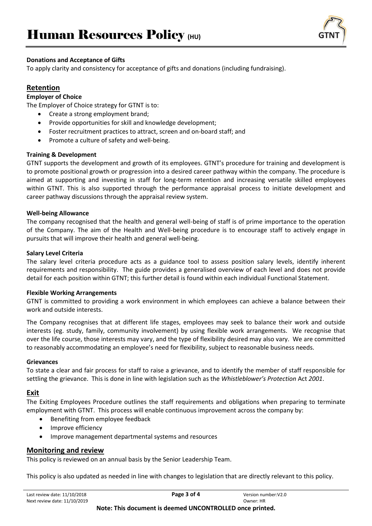

### **Donations and Acceptance of Gifts**

To apply clarity and consistency for acceptance of gifts and donations (including fundraising).

# **Retention**

### **Employer of Choice**

The Employer of Choice strategy for GTNT is to:

- Create a strong employment brand;
- Provide opportunities for skill and knowledge development;
- Foster recruitment practices to attract, screen and on-board staff; and
- Promote a culture of safety and well-being.

### **Training & Development**

GTNT supports the development and growth of its employees. GTNT's procedure for training and development is to promote positional growth or progression into a desired career pathway within the company. The procedure is aimed at supporting and investing in staff for long-term retention and increasing versatile skilled employees within GTNT. This is also supported through the performance appraisal process to initiate development and career pathway discussions through the appraisal review system.

### **Well-being Allowance**

The company recognised that the health and general well-being of staff is of prime importance to the operation of the Company. The aim of the Health and Well-being procedure is to encourage staff to actively engage in pursuits that will improve their health and general well-being.

### **Salary Level Criteria**

The salary level criteria procedure acts as a guidance tool to assess position salary levels, identify inherent requirements and responsibility. The guide provides a generalised overview of each level and does not provide detail for each position within GTNT; this further detail is found within each individual Functional Statement.

### **Flexible Working Arrangements**

GTNT is committed to providing a work environment in which employees can achieve a balance between their work and outside interests.

The Company recognises that at different life stages, employees may seek to balance their work and outside interests (eg. study, family, community involvement) by using flexible work arrangements. We recognise that over the life course, those interests may vary, and the type of flexibility desired may also vary. We are committed to reasonably accommodating an employee's need for flexibility, subject to reasonable business needs.

### **Grievances**

To state a clear and fair process for staff to raise a grievance, and to identify the member of staff responsible for settling the grievance. This is done in line with legislation such as the *Whistleblower's Protection* Act *2001*.

# **Exit**

The Exiting Employees Procedure outlines the staff requirements and obligations when preparing to terminate employment with GTNT. This process will enable continuous improvement across the company by:

- Benefiting from employee feedback
- Improve efficiency
- Improve management departmental systems and resources

# **Monitoring and review**

This policy is reviewed on an annual basis by the Senior Leadership Team.

This policy is also updated as needed in line with changes to legislation that are directly relevant to this policy.